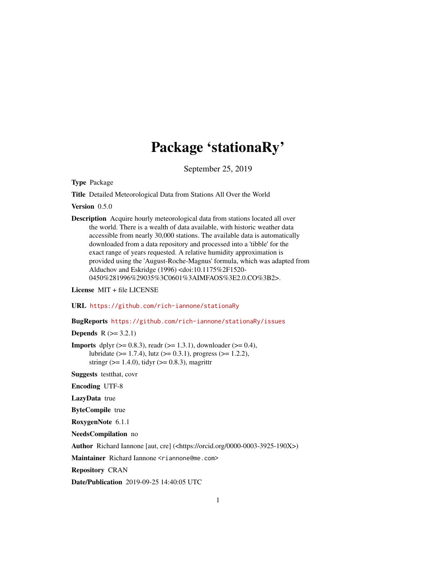# Package 'stationaRy'

September 25, 2019

Type Package

Title Detailed Meteorological Data from Stations All Over the World

Version 0.5.0

Description Acquire hourly meteorological data from stations located all over the world. There is a wealth of data available, with historic weather data accessible from nearly 30,000 stations. The available data is automatically downloaded from a data repository and processed into a 'tibble' for the exact range of years requested. A relative humidity approximation is provided using the 'August-Roche-Magnus' formula, which was adapted from Alduchov and Eskridge (1996) <doi:10.1175%2F1520- 0450%281996%29035%3C0601%3AIMFAOS%3E2.0.CO%3B2>.

License MIT + file LICENSE

URL <https://github.com/rich-iannone/stationaRy>

BugReports <https://github.com/rich-iannone/stationaRy/issues>

**Depends**  $R (= 3.2.1)$ 

**Imports** dplyr ( $>= 0.8.3$ ), readr ( $>= 1.3.1$ ), downloader ( $>= 0.4$ ), lubridate ( $>= 1.7.4$ ), lutz ( $>= 0.3.1$ ), progress ( $>= 1.2.2$ ), stringr ( $>= 1.4.0$ ), tidyr ( $>= 0.8.3$ ), magrittr

Suggests testthat, covr

Encoding UTF-8

LazyData true

ByteCompile true

RoxygenNote 6.1.1

NeedsCompilation no

Author Richard Iannone [aut, cre] (<https://orcid.org/0000-0003-3925-190X>)

Maintainer Richard Iannone <riannone@me.com>

Repository CRAN

Date/Publication 2019-09-25 14:40:05 UTC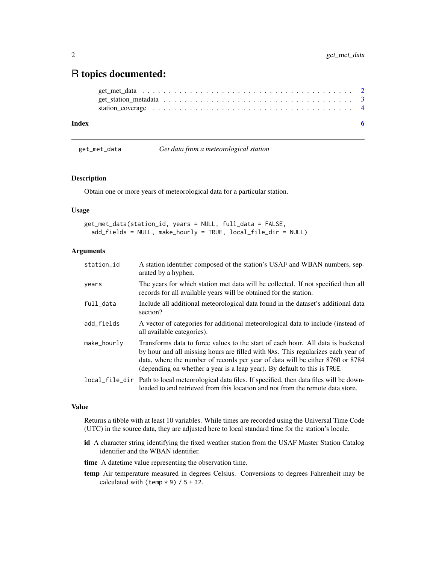# <span id="page-1-0"></span>R topics documented:

| station_coverage $\dots \dots \dots \dots \dots \dots \dots \dots \dots \dots \dots \dots \dots \dots \dots$ |  |  |
|--------------------------------------------------------------------------------------------------------------|--|--|

# **Index** [6](#page-5-0) **6**

get\_met\_data *Get data from a meteorological station*

# Description

Obtain one or more years of meteorological data for a particular station.

## Usage

```
get_met_data(station_id, years = NULL, full_data = FALSE,
  add_fields = NULL, make_hourly = TRUE, local_file_dir = NULL)
```
# Arguments

| station_id  | A station identifier composed of the station's USAF and WBAN numbers, sep-<br>arated by a hyphen.                                                                                                                                                                                                                                  |
|-------------|------------------------------------------------------------------------------------------------------------------------------------------------------------------------------------------------------------------------------------------------------------------------------------------------------------------------------------|
| years       | The years for which station met data will be collected. If not specified then all<br>records for all available years will be obtained for the station.                                                                                                                                                                             |
| full_data   | Include all additional meteorological data found in the dataset's additional data<br>section?                                                                                                                                                                                                                                      |
| add_fields  | A vector of categories for additional meteorological data to include (instead of<br>all available categories).                                                                                                                                                                                                                     |
| make_hourly | Transforms data to force values to the start of each hour. All data is bucketed<br>by hour and all missing hours are filled with NAs. This regularizes each year of<br>data, where the number of records per year of data will be either 8760 or 8784<br>(depending on whether a year is a leap year). By default to this is TRUE. |
|             | local file dir Path to local meteorological data files. If specified, then data files will be down-<br>loaded to and retrieved from this location and not from the remote data store.                                                                                                                                              |

# Value

Returns a tibble with at least 10 variables. While times are recorded using the Universal Time Code (UTC) in the source data, they are adjusted here to local standard time for the station's locale.

- id A character string identifying the fixed weather station from the USAF Master Station Catalog identifier and the WBAN identifier.
- time A datetime value representing the observation time.
- temp Air temperature measured in degrees Celsius. Conversions to degrees Fahrenheit may be calculated with (temp  $*$  9) / 5 + 32.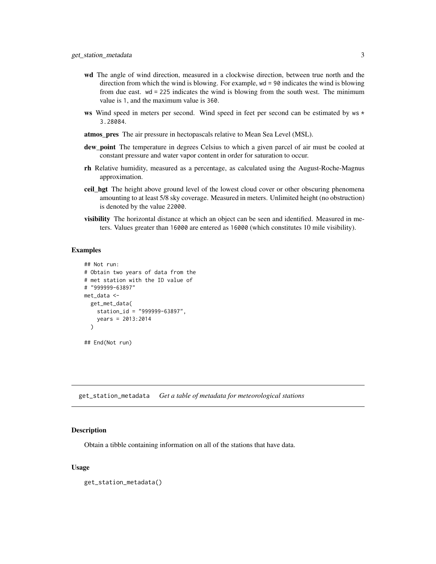- <span id="page-2-0"></span>wd The angle of wind direction, measured in a clockwise direction, between true north and the direction from which the wind is blowing. For example, wd = 90 indicates the wind is blowing from due east. wd = 225 indicates the wind is blowing from the south west. The minimum value is 1, and the maximum value is 360.
- ws Wind speed in meters per second. Wind speed in feet per second can be estimated by  $ws *$ 3.28084.
- atmos\_pres The air pressure in hectopascals relative to Mean Sea Level (MSL).
- dew\_point The temperature in degrees Celsius to which a given parcel of air must be cooled at constant pressure and water vapor content in order for saturation to occur.
- rh Relative humidity, measured as a percentage, as calculated using the August-Roche-Magnus approximation.
- **ceil hgt** The height above ground level of the lowest cloud cover or other obscuring phenomena amounting to at least 5/8 sky coverage. Measured in meters. Unlimited height (no obstruction) is denoted by the value 22000.
- visibility The horizontal distance at which an object can be seen and identified. Measured in meters. Values greater than 16000 are entered as 16000 (which constitutes 10 mile visibility).

# Examples

```
## Not run:
# Obtain two years of data from the
# met station with the ID value of
# "999999-63897"
met data \leq-
  get_met_data(
    station_id = "999999-63897",
    years = 2013:2014
  )
## End(Not run)
```
get\_station\_metadata *Get a table of metadata for meteorological stations*

#### **Description**

Obtain a tibble containing information on all of the stations that have data.

#### Usage

get\_station\_metadata()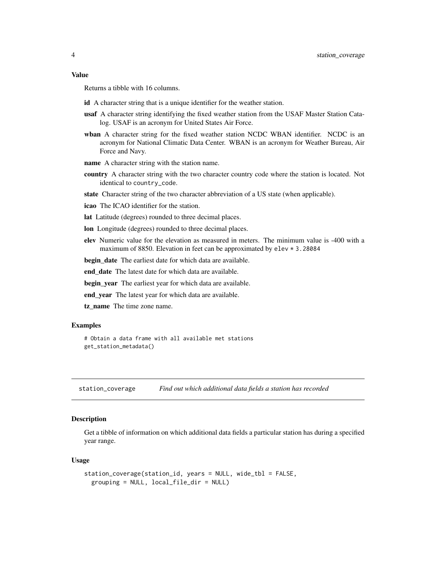#### <span id="page-3-0"></span>Value

Returns a tibble with 16 columns.

- id A character string that is a unique identifier for the weather station.
- usaf A character string identifying the fixed weather station from the USAF Master Station Catalog. USAF is an acronym for United States Air Force.
- wban A character string for the fixed weather station NCDC WBAN identifier. NCDC is an acronym for National Climatic Data Center. WBAN is an acronym for Weather Bureau, Air Force and Navy.
- name A character string with the station name.
- country A character string with the two character country code where the station is located. Not identical to country\_code.
- state Character string of the two character abbreviation of a US state (when applicable).
- icao The ICAO identifier for the station.
- lat Latitude (degrees) rounded to three decimal places.
- lon Longitude (degrees) rounded to three decimal places.
- elev Numeric value for the elevation as measured in meters. The minimum value is -400 with a maximum of 8850. Elevation in feet can be approximated by elev \* 3.28084

**begin\_date** The earliest date for which data are available.

end date The latest date for which data are available.

begin\_year The earliest year for which data are available.

end year The latest year for which data are available.

tz\_name The time zone name.

## Examples

```
# Obtain a data frame with all available met stations
get_station_metadata()
```
station\_coverage *Find out which additional data fields a station has recorded*

# Description

Get a tibble of information on which additional data fields a particular station has during a specified year range.

#### Usage

```
station_coverage(station_id, years = NULL, wide_tbl = FALSE,
 grouping = NULL, local_file_dir = NULL)
```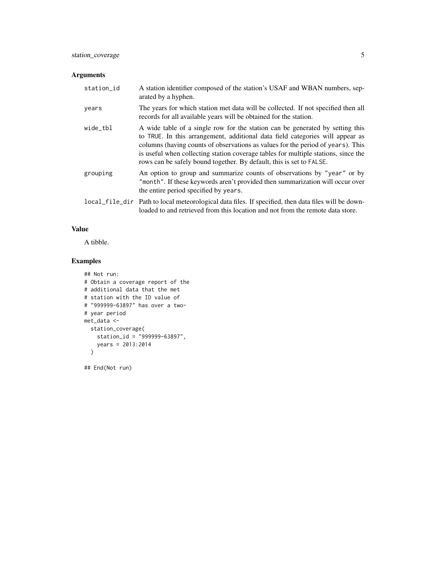# Arguments

| station_id | A station identifier composed of the station's USAF and WBAN numbers, sep-<br>arated by a hyphen.                                                                                                                                                                                                                                                                                                               |
|------------|-----------------------------------------------------------------------------------------------------------------------------------------------------------------------------------------------------------------------------------------------------------------------------------------------------------------------------------------------------------------------------------------------------------------|
| years      | The years for which station met data will be collected. If not specified then all<br>records for all available years will be obtained for the station.                                                                                                                                                                                                                                                          |
| wide_tbl   | A wide table of a single row for the station can be generated by setting this<br>to TRUE. In this arrangement, additional data field categories will appear as<br>columns (having counts of observations as values for the period of years). This<br>is useful when collecting station coverage tables for multiple stations, since the<br>rows can be safely bound together. By default, this is set to FALSE. |
| grouping   | An option to group and summarize counts of observations by "year" or by<br>"month". If these keywords aren't provided then summarization will occur over<br>the entire period specified by years.                                                                                                                                                                                                               |
|            | local file dir Path to local meteorological data files. If specified, then data files will be down-<br>loaded to and retrieved from this location and not from the remote data store.                                                                                                                                                                                                                           |

# Value

A tibble.

# Examples

```
## Not run:
# Obtain a coverage report of the
# additional data that the met
# station with the ID value of
# "999999-63897" has over a two-
# year period
met_data <-
  station_coverage(
   station_id = "999999-63897",
    years = 2013:2014
  \lambda
```
## End(Not run)